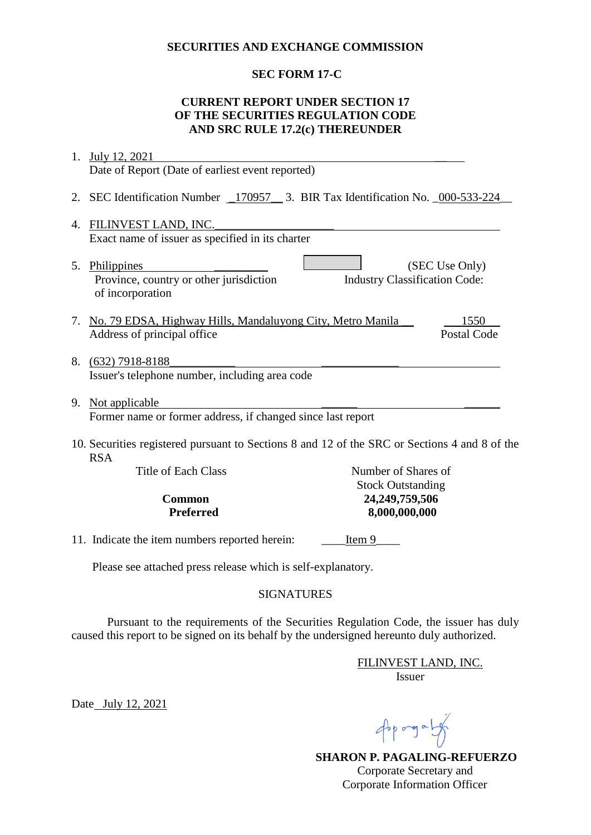#### **SECURITIES AND EXCHANGE COMMISSION**

## **SEC FORM 17-C**

## **CURRENT REPORT UNDER SECTION 17 OF THE SECURITIES REGULATION CODE AND SRC RULE 17.2(c) THEREUNDER**

| 1.                                                                                                          | July 12, 2021                                                                             |                                                 |                            |  |
|-------------------------------------------------------------------------------------------------------------|-------------------------------------------------------------------------------------------|-------------------------------------------------|----------------------------|--|
|                                                                                                             | Date of Report (Date of earliest event reported)                                          |                                                 |                            |  |
| 2.                                                                                                          | SEC Identification Number 170957 3. BIR Tax Identification No. 000-533-224                |                                                 |                            |  |
| 4.                                                                                                          | FILINVEST LAND, INC.<br>Exact name of issuer as specified in its charter                  |                                                 |                            |  |
|                                                                                                             | 5. Philippines<br>Province, country or other jurisdiction<br>of incorporation             | <b>Industry Classification Code:</b>            | (SEC Use Only)             |  |
| 7.                                                                                                          | No. 79 EDSA, Highway Hills, Mandaluyong City, Metro Manila<br>Address of principal office |                                                 | 1550<br><b>Postal Code</b> |  |
| 8.                                                                                                          | $(632)$ 7918-8188<br>Issuer's telephone number, including area code                       |                                                 |                            |  |
| 9.                                                                                                          | Not applicable<br>Former name or former address, if changed since last report             |                                                 |                            |  |
| 10. Securities registered pursuant to Sections 8 and 12 of the SRC or Sections 4 and 8 of the<br><b>RSA</b> |                                                                                           |                                                 |                            |  |
|                                                                                                             | <b>Title of Each Class</b>                                                                | Number of Shares of<br><b>Stock Outstanding</b> |                            |  |
|                                                                                                             | <b>Common</b>                                                                             | 24,249,759,506                                  |                            |  |
|                                                                                                             | <b>Preferred</b>                                                                          | 8,000,000,000                                   |                            |  |
|                                                                                                             | 11. Indicate the item numbers reported herein:<br>Item 9                                  |                                                 |                            |  |
|                                                                                                             | Please see attached press release which is self-explanatory.                              |                                                 |                            |  |

#### SIGNATURES

Pursuant to the requirements of the Securities Regulation Code, the issuer has duly caused this report to be signed on its behalf by the undersigned hereunto duly authorized.

> FILINVEST LAND, INC. Issuer

Date July 12, 2021

 $46p$  ang a  $14p$ 

 **SHARON P. PAGALING-REFUERZO** Corporate Secretary and Corporate Information Officer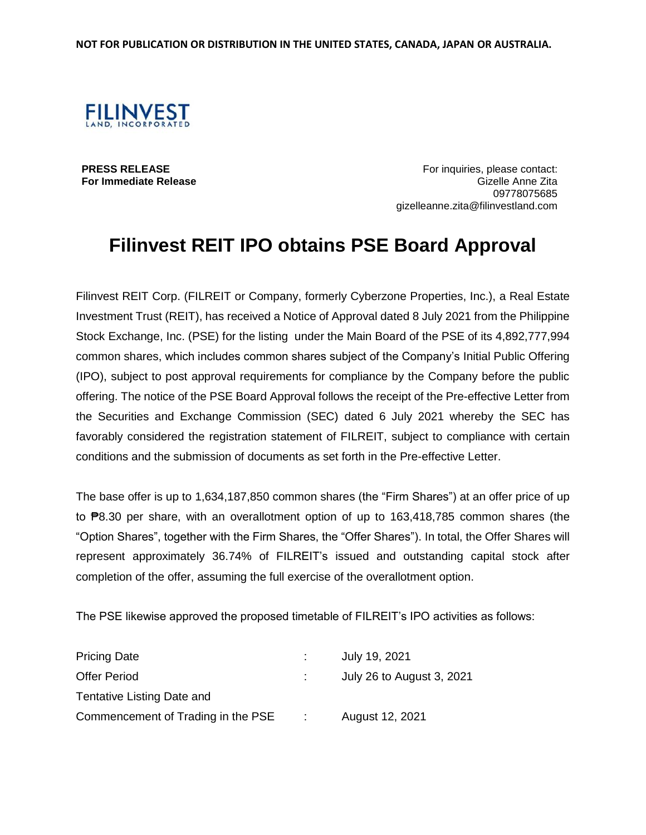

**PRESS RELEASE For Immediate Release**

For inquiries, please contact: Gizelle Anne Zita 09778075685 gizelleanne.zita@filinvestland.com

# **Filinvest REIT IPO obtains PSE Board Approval**

Filinvest REIT Corp. (FILREIT or Company, formerly Cyberzone Properties, Inc.), a Real Estate Investment Trust (REIT), has received a Notice of Approval dated 8 July 2021 from the Philippine Stock Exchange, Inc. (PSE) for the listing under the Main Board of the PSE of its 4,892,777,994 common shares, which includes common shares subject of the Company's Initial Public Offering (IPO), subject to post approval requirements for compliance by the Company before the public offering. The notice of the PSE Board Approval follows the receipt of the Pre-effective Letter from the Securities and Exchange Commission (SEC) dated 6 July 2021 whereby the SEC has favorably considered the registration statement of FILREIT, subject to compliance with certain conditions and the submission of documents as set forth in the Pre-effective Letter.

The base offer is up to 1,634,187,850 common shares (the "Firm Shares") at an offer price of up to ₱8.30 per share, with an overallotment option of up to 163,418,785 common shares (the "Option Shares", together with the Firm Shares, the "Offer Shares"). In total, the Offer Shares will represent approximately 36.74% of FILREIT's issued and outstanding capital stock after completion of the offer, assuming the full exercise of the overallotment option.

The PSE likewise approved the proposed timetable of FILREIT's IPO activities as follows:

| <b>Pricing Date</b>                |                          | July 19, 2021             |  |  |
|------------------------------------|--------------------------|---------------------------|--|--|
| <b>Offer Period</b>                |                          | July 26 to August 3, 2021 |  |  |
| Tentative Listing Date and         |                          |                           |  |  |
| Commencement of Trading in the PSE | $\sim 10^{10}$ m $^{-1}$ | August 12, 2021           |  |  |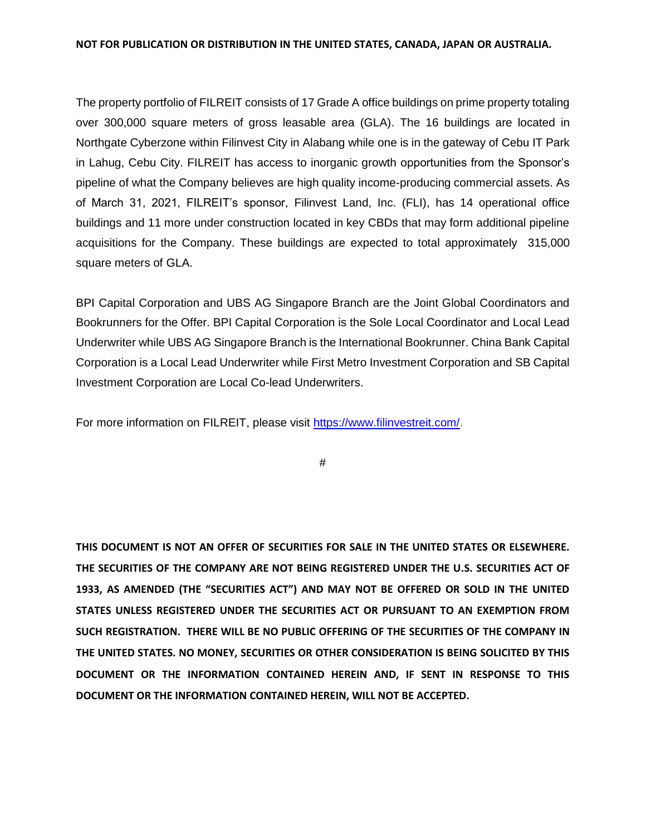#### **NOT FOR PUBLICATION OR DISTRIBUTION IN THE UNITED STATES, CANADA, JAPAN OR AUSTRALIA.**

The property portfolio of FILREIT consists of 17 Grade A office buildings on prime property totaling over 300,000 square meters of gross leasable area (GLA). The 16 buildings are located in Northgate Cyberzone within Filinvest City in Alabang while one is in the gateway of Cebu IT Park in Lahug, Cebu City. FILREIT has access to inorganic growth opportunities from the Sponsor's pipeline of what the Company believes are high quality income-producing commercial assets. As of March 31, 2021, FILREIT's sponsor, Filinvest Land, Inc. (FLI), has 14 operational office buildings and 11 more under construction located in key CBDs that may form additional pipeline acquisitions for the Company. These buildings are expected to total approximately 315,000 square meters of GLA.

BPI Capital Corporation and UBS AG Singapore Branch are the Joint Global Coordinators and Bookrunners for the Offer. BPI Capital Corporation is the Sole Local Coordinator and Local Lead Underwriter while UBS AG Singapore Branch is the International Bookrunner. China Bank Capital Corporation is a Local Lead Underwriter while First Metro Investment Corporation and SB Capital Investment Corporation are Local Co-lead Underwriters.

For more information on FILREIT, please visit [https://www.filinvestreit.com/.](https://www.filinvestreit.com/)

#

**THIS DOCUMENT IS NOT AN OFFER OF SECURITIES FOR SALE IN THE UNITED STATES OR ELSEWHERE. THE SECURITIES OF THE COMPANY ARE NOT BEING REGISTERED UNDER THE U.S. SECURITIES ACT OF 1933, AS AMENDED (THE "SECURITIES ACT") AND MAY NOT BE OFFERED OR SOLD IN THE UNITED STATES UNLESS REGISTERED UNDER THE SECURITIES ACT OR PURSUANT TO AN EXEMPTION FROM SUCH REGISTRATION. THERE WILL BE NO PUBLIC OFFERING OF THE SECURITIES OF THE COMPANY IN THE UNITED STATES. NO MONEY, SECURITIES OR OTHER CONSIDERATION IS BEING SOLICITED BY THIS DOCUMENT OR THE INFORMATION CONTAINED HEREIN AND, IF SENT IN RESPONSE TO THIS DOCUMENT OR THE INFORMATION CONTAINED HEREIN, WILL NOT BE ACCEPTED.**